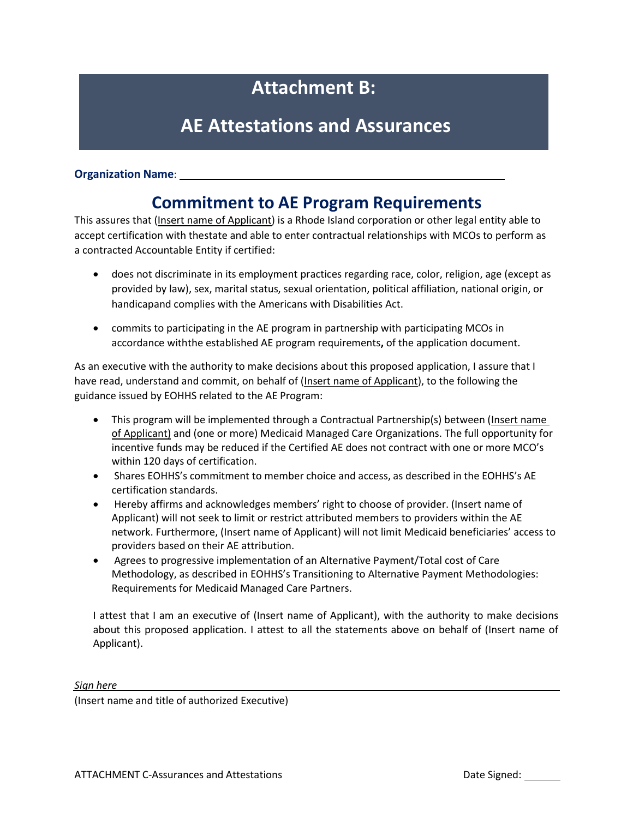# **Attachment B:**

## **AE Attestations and Assurances**

#### **Organization Name**:

### **Commitment to AE Program Requirements**

This assures that (Insert name of Applicant) is a Rhode Island corporation or other legal entity able to accept certification with thestate and able to enter contractual relationships with MCOs to perform as a contracted Accountable Entity if certified:

- does not discriminate in its employment practices regarding race, color, religion, age (except as provided by law), sex, marital status, sexual orientation, political affiliation, national origin, or handicapand complies with the Americans with Disabilities Act.
- commits to participating in the AE program in partnership with participating MCOs in accordance withthe established AE program requirements**,** of the application document.

As an executive with the authority to make decisions about this proposed application, I assure that I have read, understand and commit, on behalf of (Insert name of Applicant), to the following the guidance issued by EOHHS related to the AE Program:

- This program will be implemented through a Contractual Partnership(s) between (Insert name of Applicant) and (one or more) Medicaid Managed Care Organizations. The full opportunity for incentive funds may be reduced if the Certified AE does not contract with one or more MCO's within 120 days of certification.
- Shares EOHHS's commitment to member choice and access, as described in the EOHHS's AE certification standards.
- Hereby affirms and acknowledges members' right to choose of provider. (Insert name of Applicant) will not seek to limit or restrict attributed members to providers within the AE network. Furthermore, (Insert name of Applicant) will not limit Medicaid beneficiaries' access to providers based on their AE attribution.
- Agrees to progressive implementation of an Alternative Payment/Total cost of Care Methodology, as described in EOHHS's Transitioning to Alternative Payment Methodologies: Requirements for Medicaid Managed Care Partners.

I attest that I am an executive of (Insert name of Applicant), with the authority to make decisions about this proposed application. I attest to all the statements above on behalf of (Insert name of Applicant).

*Sign here*

(Insert name and title of authorized Executive)